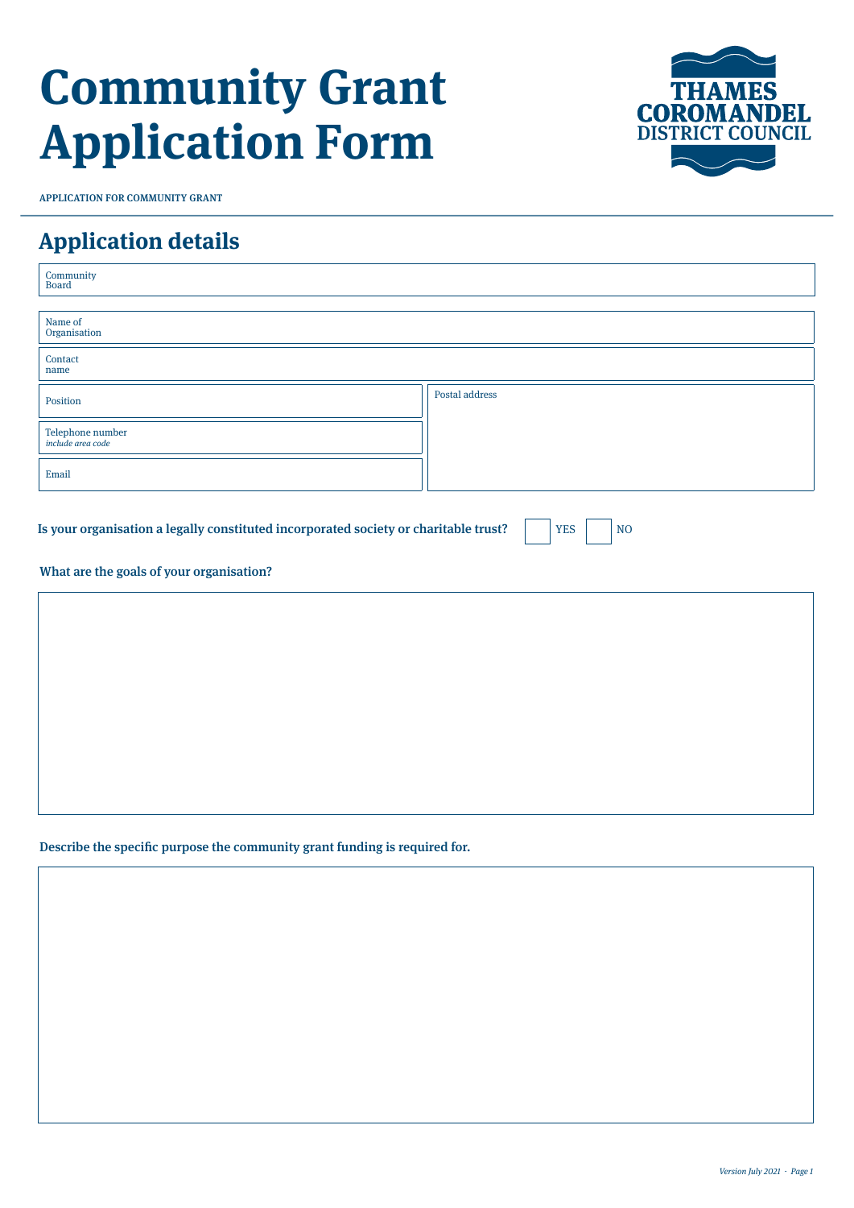# **Community Grant Application Form**



#### **Application details**

| $\begin{array}{c} \textbf{Commu} \\ \textbf{Board} \end{array}$                                                                                                  |                |  |  |
|------------------------------------------------------------------------------------------------------------------------------------------------------------------|----------------|--|--|
| Name of<br>Organisation                                                                                                                                          |                |  |  |
| Contact<br>name                                                                                                                                                  |                |  |  |
| Position                                                                                                                                                         | Postal address |  |  |
| Telephone number<br>include area code                                                                                                                            |                |  |  |
| Email                                                                                                                                                            |                |  |  |
| Is your organisation a legally constituted incorporated society or charitable trust?<br>N <sub>O</sub><br><b>YES</b><br>What are the goals of your organisation? |                |  |  |
|                                                                                                                                                                  |                |  |  |
|                                                                                                                                                                  |                |  |  |
|                                                                                                                                                                  |                |  |  |
|                                                                                                                                                                  |                |  |  |
|                                                                                                                                                                  |                |  |  |

Describe the specific purpose the community grant funding is required for.

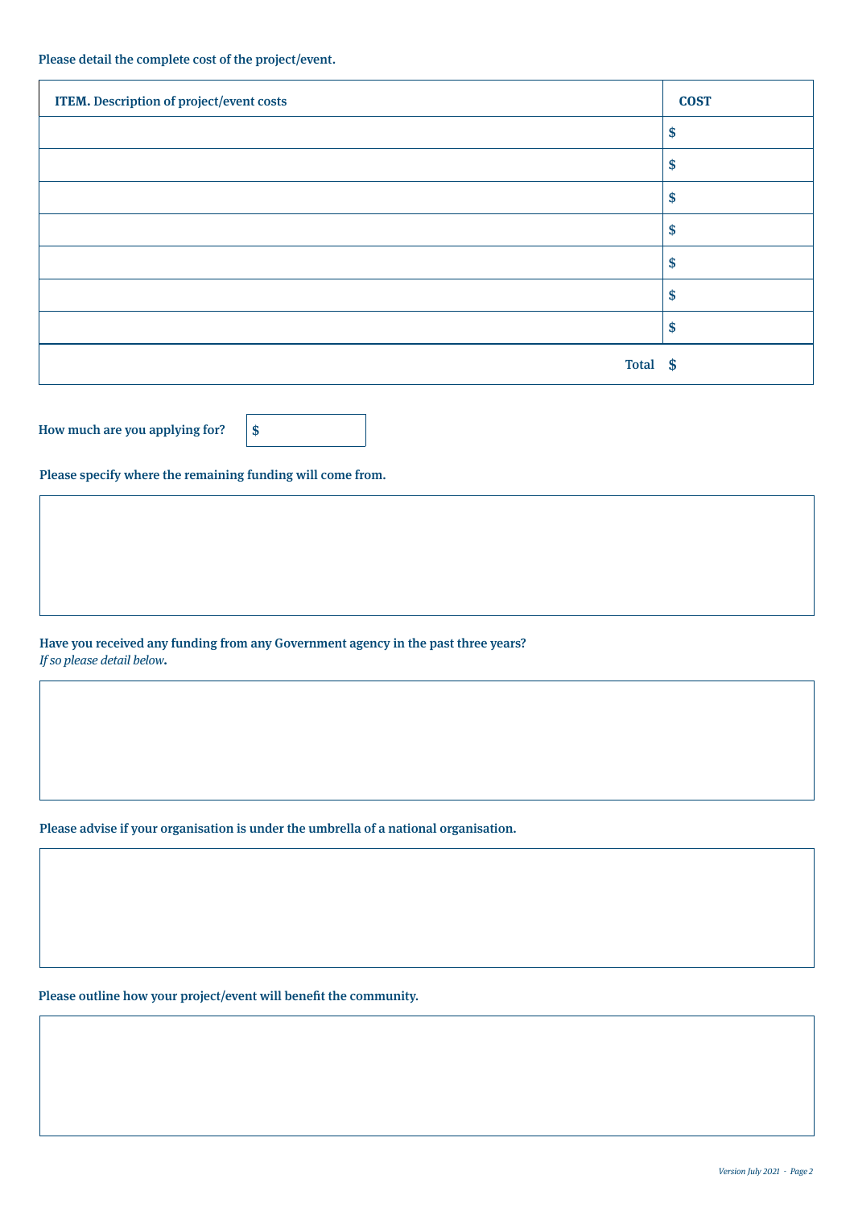| <b>ITEM.</b> Description of project/event costs | <b>COST</b> |
|-------------------------------------------------|-------------|
|                                                 | \$          |
|                                                 | S           |
|                                                 | \$          |
|                                                 | \$          |
|                                                 | \$          |
|                                                 | S           |
|                                                 | S           |
| Total \$                                        |             |

How much are you applying for?  $\|\$$ 

Please specify where the remaining funding will come from.

Have you received any funding from any Government agency in the past three years? If so please detail below.

Please advise if your organisation is under the umbrella of a national organisation.

Please outline how your project/event will benefit the community.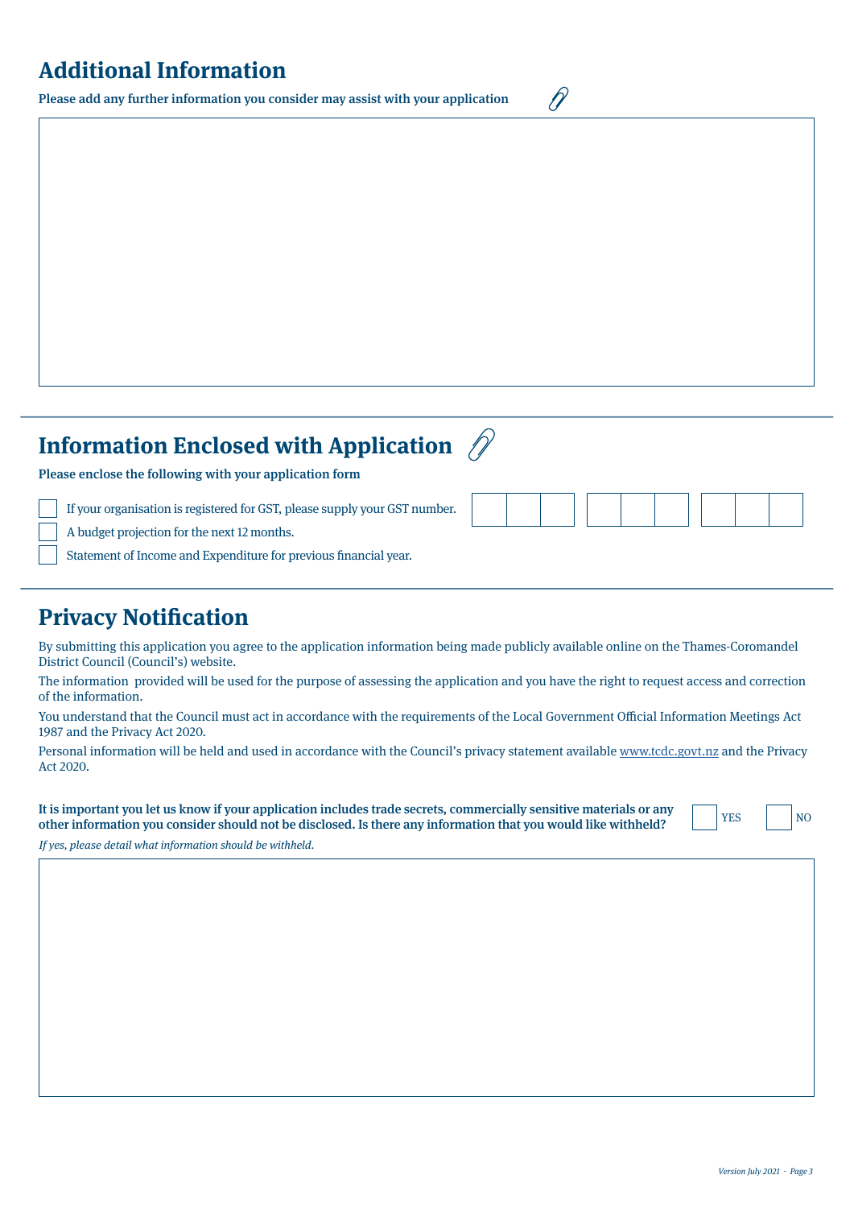## **Additional Information**

Please add any further information you consider may assist with your application

 $\mathscr{D}$ 

| <b>Information Enclosed with Application <math>\mathcal{D}</math></b>                                                                                                                                                                                                                          |  |
|------------------------------------------------------------------------------------------------------------------------------------------------------------------------------------------------------------------------------------------------------------------------------------------------|--|
| Please enclose the following with your application form<br>If your organisation is registered for GST, please supply your GST number.<br>A budget projection for the next 12 months.<br>Statement of Income and Expenditure for previous financial year.                                       |  |
| $\mathbf{D}$ . The state of $\mathbf{D}$ and $\mathbf{D}$ and $\mathbf{D}$ and $\mathbf{D}$ and $\mathbf{D}$ and $\mathbf{D}$ and $\mathbf{D}$ and $\mathbf{D}$ and $\mathbf{D}$ and $\mathbf{D}$ and $\mathbf{D}$ and $\mathbf{D}$ and $\mathbf{D}$ and $\mathbf{D}$ and $\mathbf{D}$ and $\$ |  |

#### **Privacy Notification**

By submitting this application you agree to the application information being made publicly available online on the Thames-Coromandel District Council (Council's) website.

The information provided will be used for the purpose of assessing the application and you have the right to request access and correction of the information.

You understand that the Council must act in accordance with the requirements of the Local Government Official Information Meetings Act 1987 and the Privacy Act 2020.

Personal information will be held and used in accordance with the Council's privacy statement available [www.tcdc.govt.nz](http://www.tcdc.govt.nz) and the Privacy Act 2020.

It is important you let us know if your application includes trade secrets, commercially sensitive materials or any other information you consider should not be disclosed. Is there any information that you would like withheld?

YES | NO

If yes, please detail what information should be withheld.